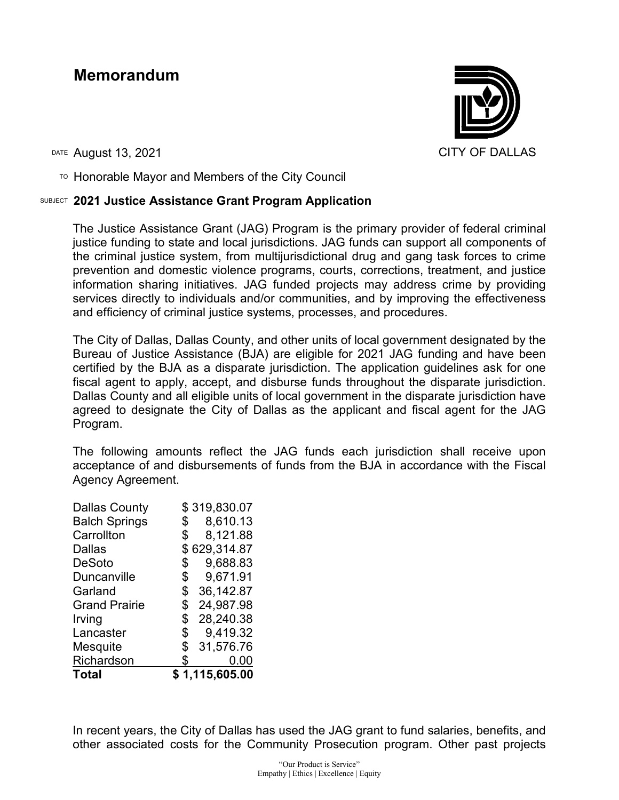## **Memorandum**



DATE August 13, 2021 CITY OF DALLAS

 $T$ <sup>O</sup> Honorable Mayor and Members of the City Council

## SUBJECT **2021 Justice Assistance Grant Program Application**

The Justice Assistance Grant (JAG) Program is the primary provider of federal criminal justice funding to state and local jurisdictions. JAG funds can support all components of the criminal justice system, from multijurisdictional drug and gang task forces to crime prevention and domestic violence programs, courts, corrections, treatment, and justice information sharing initiatives. JAG funded projects may address crime by providing services directly to individuals and/or communities, and by improving the effectiveness and efficiency of criminal justice systems, processes, and procedures.

The City of Dallas, Dallas County, and other units of local government designated by the Bureau of Justice Assistance (BJA) are eligible for 2021 JAG funding and have been certified by the BJA as a disparate jurisdiction. The application guidelines ask for one fiscal agent to apply, accept, and disburse funds throughout the disparate jurisdiction. Dallas County and all eligible units of local government in the disparate jurisdiction have agreed to designate the City of Dallas as the applicant and fiscal agent for the JAG Program.

The following amounts reflect the JAG funds each jurisdiction shall receive upon acceptance of and disbursements of funds from the BJA in accordance with the Fiscal Agency Agreement.

| <b>Dallas County</b> | \$319,830.07    |
|----------------------|-----------------|
| <b>Balch Springs</b> | \$<br>8,610.13  |
| Carrollton           | \$<br>8,121.88  |
| <b>Dallas</b>        | \$629,314.87    |
| <b>DeSoto</b>        | \$<br>9,688.83  |
| <b>Duncanville</b>   | \$<br>9,671.91  |
| Garland              | \$<br>36,142.87 |
| <b>Grand Prairie</b> | \$<br>24,987.98 |
| Irving               | \$<br>28,240.38 |
| Lancaster            | \$<br>9,419.32  |
| Mesquite             | \$<br>31,576.76 |
| Richardson           | \$<br>0.00      |
| <b>Total</b>         | \$1,115,605.00  |

In recent years, the City of Dallas has used the JAG grant to fund salaries, benefits, and other associated costs for the Community Prosecution program. Other past projects